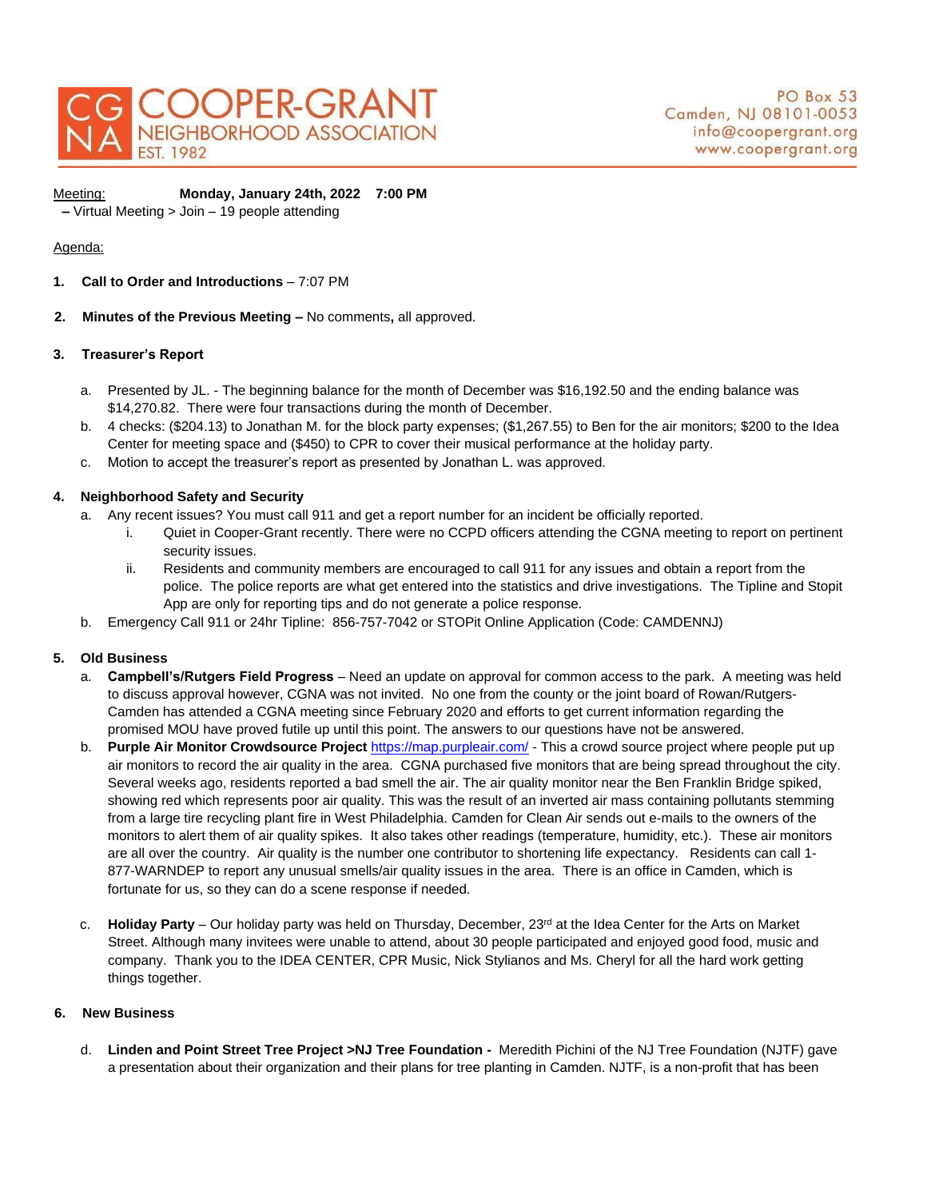

Ī

# Meeting: **Monday, January 24th, 2022 7:00 PM**

**–** Virtual Meeting > Join – 19 people attending

# Agenda:

- **1. Call to Order and Introductions**  7:07 PM
- **2. Minutes of the Previous Meeting –** No comments**,** all approved.

### **3. Treasurer's Report**

- a. Presented by JL. The beginning balance for the month of December was \$16,192.50 and the ending balance was \$14,270.82. There were four transactions during the month of December.
- b. 4 checks: (\$204.13) to Jonathan M. for the block party expenses; (\$1,267.55) to Ben for the air monitors; \$200 to the Idea Center for meeting space and (\$450) to CPR to cover their musical performance at the holiday party.
- c. Motion to accept the treasurer's report as presented by Jonathan L. was approved.

# **4. Neighborhood Safety and Security**

- a. Any recent issues? You must call 911 and get a report number for an incident be officially reported.
	- i. Quiet in Cooper-Grant recently. There were no CCPD officers attending the CGNA meeting to report on pertinent security issues.
	- ii. Residents and community members are encouraged to call 911 for any issues and obtain a report from the police. The police reports are what get entered into the statistics and drive investigations. The Tipline and Stopit App are only for reporting tips and do not generate a police response.
- b. Emergency Call 911 or 24hr Tipline: 856-757-7042 or STOPit Online Application (Code: CAMDENNJ)

# **5. Old Business**

- a. **Campbell's/Rutgers Field Progress** Need an update on approval for common access to the park. A meeting was held to discuss approval however, CGNA was not invited. No one from the county or the joint board of Rowan/Rutgers-Camden has attended a CGNA meeting since February 2020 and efforts to get current information regarding the promised MOU have proved futile up until this point. The answers to our questions have not be answered.
- b. **Purple Air Monitor Crowdsource Project** <https://map.purpleair.com/> This a crowd source project where people put up air monitors to record the air quality in the area. CGNA purchased five monitors that are being spread throughout the city. Several weeks ago, residents reported a bad smell the air. The air quality monitor near the Ben Franklin Bridge spiked, showing red which represents poor air quality. This was the result of an inverted air mass containing pollutants stemming from a large tire recycling plant fire in West Philadelphia. Camden for Clean Air sends out e-mails to the owners of the monitors to alert them of air quality spikes. It also takes other readings (temperature, humidity, etc.). These air monitors are all over the country. Air quality is the number one contributor to shortening life expectancy. Residents can call 1- 877-WARNDEP to report any unusual smells/air quality issues in the area. There is an office in Camden, which is fortunate for us, so they can do a scene response if needed.
- c. **Holiday Party** Our holiday party was held on Thursday, December, 23<sup>rd</sup> at the Idea Center for the Arts on Market Street. Although many invitees were unable to attend, about 30 people participated and enjoyed good food, music and company. Thank you to the IDEA CENTER, CPR Music, Nick Stylianos and Ms. Cheryl for all the hard work getting things together.

#### **6. New Business**

d. **Linden and Point Street Tree Project >NJ Tree Foundation -** Meredith Pichini of the NJ Tree Foundation (NJTF) gave a presentation about their organization and their plans for tree planting in Camden. NJTF, is a non-profit that has been